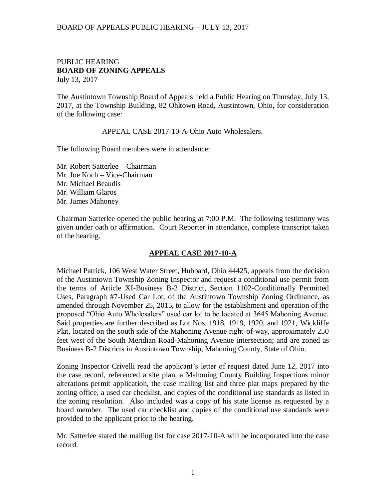## BOARD OF APPEALS PUBLIC HEARING – JULY 13, 2017

## PUBLIC HEARING **BOARD OF ZONING APPEALS**  July 13, 2017

The Austintown Township Board of Appeals held a Public Hearing on Thursday, July 13, 2017, at the Township Building, 82 Ohltown Road, Austintown, Ohio, for consideration of the following case:

APPEAL CASE 2017-10-A-Ohio Auto Wholesalers.

The following Board members were in attendance:

Mr. Robert Satterlee – Chairman Mr. Joe Koch – Vice-Chairman Mr. Michael Beaudis Mr. William Glaros Mr. James Mahoney

Chairman Satterlee opened the public hearing at 7:00 P.M. The following testimony was given under oath or affirmation. Court Reporter in attendance, complete transcript taken of the hearing.

## **APPEAL CASE 2017-10-A**

Michael Patrick, 106 West Water Street, Hubbard, Ohio 44425, appeals from the decision of the Austintown Township Zoning Inspector and request a conditional use permit from the terms of Article XI-Business B-2 District, Section 1102-Conditionally Permitted Uses, Paragraph #7-Used Car Lot, of the Austintown Township Zoning Ordinance, as amended through November 25, 2015, to allow for the establishment and operation of the proposed "Ohio Auto Wholesalers" used car lot to be located at 3645 Mahoning Avenue. Said properties are further described as Lot Nos. 1918, 1919, 1920, and 1921, Wickliffe Plat, located on the south side of the Mahoning Avenue right-of-way, approximately 250 feet west of the South Meridian Road-Mahoning Avenue intersection; and are zoned as Business B-2 Districts in Austintown Township, Mahoning County, State of Ohio.

Zoning Inspector Crivelli read the applicant's letter of request dated June 12, 2017 into the case record, referenced a site plan, a Mahoning County Building Inspections minor alterations permit application, the case mailing list and three plat maps prepared by the zoning office, a used car checklist, and copies of the conditional use standards as listed in the zoning resolution. Also included was a copy of his state license as requested by a board member. The used car checklist and copies of the conditional use standards were provided to the applicant prior to the hearing.

Mr. Satterlee stated the mailing list for case 2017-10-A will be incorporated into the case record.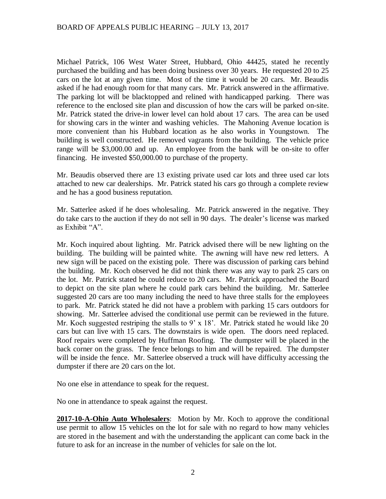Michael Patrick, 106 West Water Street, Hubbard, Ohio 44425, stated he recently purchased the building and has been doing business over 30 years. He requested 20 to 25 cars on the lot at any given time. Most of the time it would be 20 cars. Mr. Beaudis asked if he had enough room for that many cars. Mr. Patrick answered in the affirmative. The parking lot will be blacktopped and relined with handicapped parking. There was reference to the enclosed site plan and discussion of how the cars will be parked on-site. Mr. Patrick stated the drive-in lower level can hold about 17 cars. The area can be used for showing cars in the winter and washing vehicles. The Mahoning Avenue location is more convenient than his Hubbard location as he also works in Youngstown. The building is well constructed. He removed vagrants from the building. The vehicle price range will be \$3,000.00 and up. An employee from the bank will be on-site to offer financing. He invested \$50,000.00 to purchase of the property.

Mr. Beaudis observed there are 13 existing private used car lots and three used car lots attached to new car dealerships. Mr. Patrick stated his cars go through a complete review and he has a good business reputation.

Mr. Satterlee asked if he does wholesaling. Mr. Patrick answered in the negative. They do take cars to the auction if they do not sell in 90 days. The dealer's license was marked as Exhibit "A".

Mr. Koch inquired about lighting. Mr. Patrick advised there will be new lighting on the building. The building will be painted white. The awning will have new red letters. A new sign will be paced on the existing pole. There was discussion of parking cars behind the building. Mr. Koch observed he did not think there was any way to park 25 cars on the lot. Mr. Patrick stated he could reduce to 20 cars. Mr. Patrick approached the Board to depict on the site plan where he could park cars behind the building. Mr. Satterlee suggested 20 cars are too many including the need to have three stalls for the employees to park. Mr. Patrick stated he did not have a problem with parking 15 cars outdoors for showing. Mr. Satterlee advised the conditional use permit can be reviewed in the future. Mr. Koch suggested restriping the stalls to 9' x 18'. Mr. Patrick stated he would like 20 cars but can live with 15 cars. The downstairs is wide open. The doors need replaced. Roof repairs were completed by Huffman Roofing. The dumpster will be placed in the back corner on the grass. The fence belongs to him and will be repaired. The dumpster will be inside the fence. Mr. Satterlee observed a truck will have difficulty accessing the dumpster if there are 20 cars on the lot.

No one else in attendance to speak for the request.

No one in attendance to speak against the request.

**2017-10-A-Ohio Auto Wholesalers**: Motion by Mr. Koch to approve the conditional use permit to allow 15 vehicles on the lot for sale with no regard to how many vehicles are stored in the basement and with the understanding the applicant can come back in the future to ask for an increase in the number of vehicles for sale on the lot.